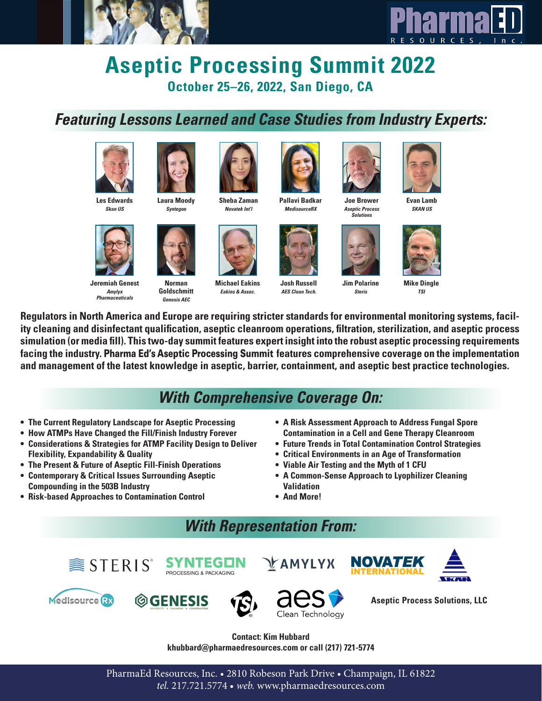



# **Aseptic Processing Summit 2022 October 25–26, 2022, San Diego, CA**

# *Featuring Lessons Learned and Case Studies from Industry Experts:*



**Les Edwards** *Skan US*



**Jeremiah Genest** *Amylyx Pharmaceuticals* 



**Norman Goldschmitt** *Genesis AEC*

**Laura Moody** *Syntegon*

**Sheba Zaman** *Novatek Int'l*



**Michael Eakins** *Eakins & Assoc.*



**Josh Russell** *AES Clean Tech.*

**Pallavi Badkar** *MedisourceRX* **Joe Brower** *Aseptic Process* 



*Solutions*

**Jim Polarine** *Steris*



**Evan Lamb** *SKAN US*



**Mike Dingle** *TSI*

**Regulators in North America and Europe are requiring stricter standards for environmental monitoring systems, facility cleaning and disinfectant qualification, aseptic cleanroom operations, filtration, sterilization, and aseptic process simulation (or media fill). This two-day summit features expert insight into the robust aseptic processing requirements facing the industry.** Pharma Ed's Aseptic Processing Summit **features comprehensive coverage on the implementation and management of the latest knowledge in aseptic, barrier, containment, and aseptic best practice technologies.**

# *With Comprehensive Coverage On:*

- **• The Current Regulatory Landscape for Aseptic Processing**
- **• How ATMPs Have Changed the Fill/Finish Industry Forever**
- **• Considerations & Strategies for ATMP Facility Design to Deliver Flexibility, Expandability & Quality**
- **• The Present & Future of Aseptic Fill-Finish Operations**
- **• Contemporary & Critical Issues Surrounding Aseptic Compounding in the 503B Industry**
- **• Risk-based Approaches to Contamination Control**
- **• A Risk Assessment Approach to Address Fungal Spore Contamination in a Cell and Gene Therapy Cleanroom**
- **• Future Trends in Total Contamination Control Strategies**
- **• Critical Environments in an Age of Transformation**
- **• Viable Air Testing and the Myth of 1 CFU**
- **• A Common-Sense Approach to Lyophilizer Cleaning Validation**
- **• And More!**

**YAMYLYX** 

## *With Representation From:*





SYNTEGON PROCESSING & PACKAGING







**Contact: Kim Hubbard khubbard@pharmaedresources.com or call (217) 721-5774**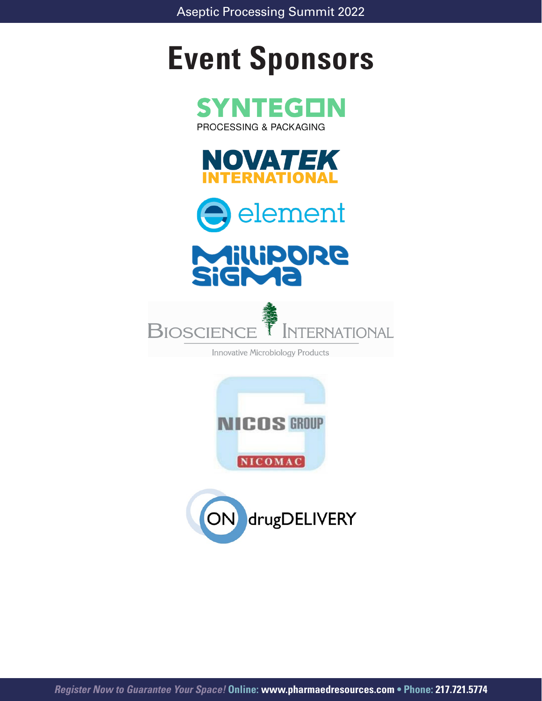# **Event Sponsors**









Innovative Microbiology Products



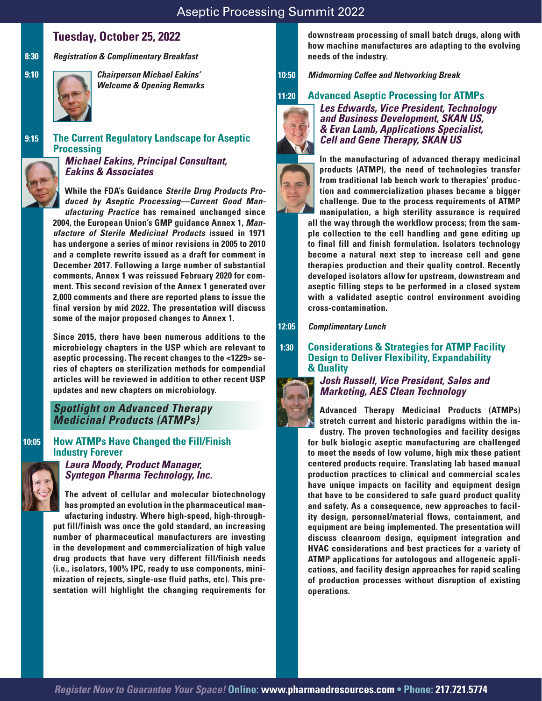## **Tuesday, October 25, 2022**

**8:30** *Registration & Complimentary Breakfast*



**9:10** *Chairperson Michael Eakins' Welcome & Opening Remarks*

**9:15 The Current Regulatory Landscape for Aseptic Processing** 

## *Michael Eakins, Principal Consultant, Eakins & Associates*

**While the FDA's Guidance** *Sterile Drug Products Produced by Aseptic Processing—Current Good Manufacturing Practice* **has remained unchanged since 2004, the European Union's GMP guidance Annex 1,** *Manufacture of Sterile Medicinal Products* **issued in 1971 has undergone a series of minor revisions in 2005 to 2010 and a complete rewrite issued as a draft for comment in December 2017. Following a large number of substantial comments, Annex 1 was reissued February 2020 for comment. This second revision of the Annex 1 generated over 2,000 comments and there are reported plans to issue the final version by mid 2022. The presentation will discuss some of the major proposed changes to Annex 1.** 

**Since 2015, there have been numerous additions to the microbiology chapters in the USP which are relevant to aseptic processing. The recent changes to the <1229> series of chapters on sterilization methods for compendial articles will be reviewed in addition to other recent USP updates and new chapters on microbiology.**

## *Spotlight on Advanced Therapy Medicinal Products (ATMPs)*

#### **10:05 How ATMPs Have Changed the Fill/Finish Industry Forever**



*Laura Moody, Product Manager, Syntegon Pharma Technology, Inc.*

**The advent of cellular and molecular biotechnology has prompted an evolution in the pharmaceutical man-**

**ufacturing industry. Where high-speed, high-throughput fill/finish was once the gold standard, an increasing number of pharmaceutical manufacturers are investing in the development and commercialization of high value drug products that have very different fill/finish needs (i.e., isolators, 100% IPC, ready to use components, minimization of rejects, single-use fluid paths, etc). This presentation will highlight the changing requirements for** 

**downstream processing of small batch drugs, along with how machine manufactures are adapting to the evolving needs of the industry.**

**10:50 Midmorning Coffee and Networking Break**

## **11:20 Advanced Aseptic Processing for ATMPs**



## **Les Edwards, Vice President, Technology**  *and Business Development, SKAN US, & Evan Lamb, Applications Specialist, Cell and Gene Therapy, SKAN US*

**In the manufacturing of advanced therapy medicinal products (ATMP), the need of technologies transfer from traditional lab bench work to therapies' production and commercialization phases became a bigger challenge. Due to the process requirements of ATMP manipulation, a high sterility assurance is required all the way through the workflow process; from the sample collection to the cell handling and gene editing up to final fill and finish formulation. Isolators technology become a natural next step to increase cell and gene therapies production and their quality control. Recently developed isolators allow for upstream, downstream and aseptic filling steps to be performed in a closed system with a validated aseptic control environment avoiding cross-contamination.**

**12:05** *Complimentary Lunch*

#### **1:30 Considerations & Strategies for ATMP Facility Design to Deliver Flexibility, Expandability & Quality**

## **Josh Russell, Vice President, Sales and**  *Marketing, AES Clean Technology*

**Advanced Therapy Medicinal Products (ATMPs) stretch current and historic paradigms within the industry. The proven technologies and facility designs for bulk biologic aseptic manufacturing are challenged to meet the needs of low volume, high mix these patient centered products require. Translating lab based manual production practices to clinical and commercial scales have unique impacts on facility and equipment design that have to be considered to safe guard product quality and safety. As a consequence, new approaches to facility design, personnel/material flows, containment, and equipment are being implemented. The presentation will discuss cleanroom design, equipment integration and HVAC considerations and best practices for a variety of ATMP applications for autologous and allogeneic applications, and facility design approaches for rapid scaling of production processes without disruption of existing operations.**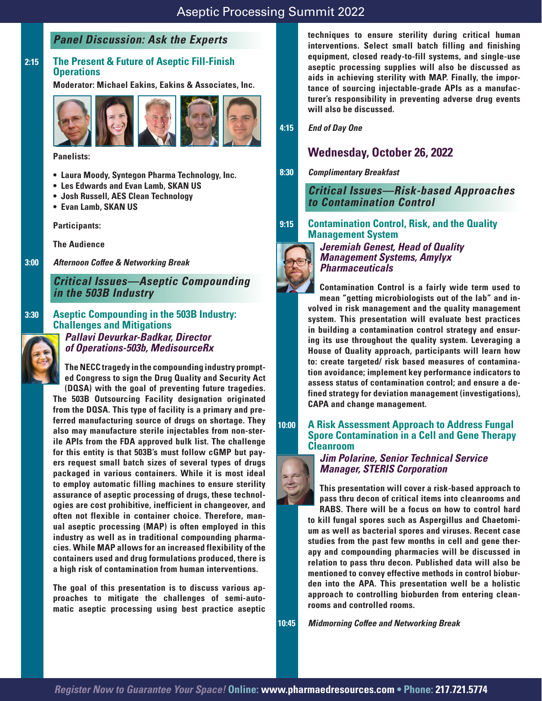## *Panel Discussion: Ask the Experts*

#### **2:15 The Present & Future of Aseptic Fill-Finish Operations**

**Moderator: Michael Eakins, Eakins & Associates, Inc.**



**Panelists:**

- **• Laura Moody, Syntegon Pharma Technology, Inc.**
- **• Les Edwards and Evan Lamb, SKAN US**
- **• Josh Russell, AES Clean Technology**
- **• Evan Lamb, SKAN US**

**Participants:** 

**The Audience**

**3:00 Afternoon Coffee & Networking Break**

## *Critical Issues—Aseptic Compounding*  **in the 503B Industry**

**3:30 Aseptic Compounding in the 503B Industry: Challenges and Mitigations** *Pallavi Devurkar-Badkar, Director* 

**of Operations-503b, MedisourceRx**

**The NECC tragedy in the compounding industry prompted Congress to sign the Drug Quality and Security Act (DQSA) with the goal of preventing future tragedies. The 503B Outsourcing Facility designation originated from the DQSA. This type of facility is a primary and preferred manufacturing source of drugs on shortage. They also may manufacture sterile injectables from non-sterile APIs from the FDA approved bulk list. The challenge for this entity is that 503B's must follow cGMP but payers request small batch sizes of several types of drugs packaged in various containers. While it is most ideal to employ automatic filling machines to ensure sterility assurance of aseptic processing of drugs, these technologies are cost prohibitive, inefficient in changeover, and often not flexible in container choice. Therefore, manual aseptic processing (MAP) is often employed in this industry as well as in traditional compounding pharmacies. While MAP allows for an increased flexibility of the containers used and drug formulations produced, there is a high risk of contamination from human interventions.** 

**The goal of this presentation is to discuss various approaches to mitigate the challenges of semi-automatic aseptic processing using best practice aseptic**  **techniques to ensure sterility during critical human interventions. Select small batch filling and finishing equipment, closed ready-to-fill systems, and single-use aseptic processing supplies will also be discussed as aids in achieving sterility with MAP. Finally, the importance of sourcing injectable-grade APIs as a manufacturer's responsibility in preventing adverse drug events will also be discussed.**

**4:15** *End of Day One*

## **Wednesday, October 26, 2022**

**8:30** *Complimentary Breakfast*

*Critical Issues—Risk-based Approaches to Contamination Control*

#### **9:15 Contamination Control, Risk, and the Quality Management System**

*Jeremiah Genest, Head of Quality Management Systems, Amylyx Pharmaceuticals*

**Contamination Control is a fairly wide term used to mean "getting microbiologists out of the lab" and involved in risk management and the quality management system. This presentation will evaluate best practices in building a contamination control strategy and ensuring its use throughout the quality system. Leveraging a House of Quality approach, participants will learn how to: create targeted/ risk based measures of contamination avoidance; implement key performance indicators to assess status of contamination control; and ensure a defined strategy for deviation management (investigations), CAPA and change management.**

## **10:00 A Risk Assessment Approach to Address Fungal Spore Contamination in a Cell and Gene Therapy Cleanroom**

*Jim Polarine, Senior Technical Service Manager, STERIS Corporation*

**This presentation will cover a risk-based approach to pass thru decon of critical items into cleanrooms and RABS. There will be a focus on how to control hard** 

**to kill fungal spores such as Aspergillus and Chaetomium as well as bacterial spores and viruses. Recent case studies from the past few months in cell and gene therapy and compounding pharmacies will be discussed in relation to pass thru decon. Published data will also be mentioned to convey effective methods in control bioburden into the APA. This presentation well be a holistic approach to controlling bioburden from entering cleanrooms and controlled rooms.**

**10:45 Midmorning Coffee and Networking Break**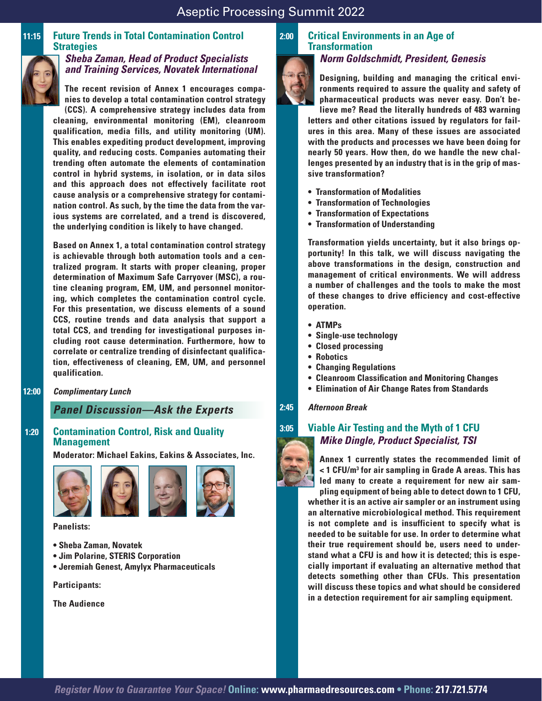## Aseptic Processing Summit 2022



## **11:15 Future Trends in Total Contamination Control Strategies**

## *Sheba Zaman, Head of Product Specialists and Training Services, Novatek International*

**The recent revision of Annex 1 encourages companies to develop a total contamination control strategy (CCS). A comprehensive strategy includes data from cleaning, environmental monitoring (EM), cleanroom qualification, media fills, and utility monitoring (UM). This enables expediting product development, improving quality, and reducing costs. Companies automating their trending often automate the elements of contamination control in hybrid systems, in isolation, or in data silos and this approach does not effectively facilitate root cause analysis or a comprehensive strategy for contamination control. As such, by the time the data from the various systems are correlated, and a trend is discovered, the underlying condition is likely to have changed.** 

**Based on Annex 1, a total contamination control strategy is achievable through both automation tools and a centralized program. It starts with proper cleaning, proper determination of Maximum Safe Carryover (MSC), a routine cleaning program, EM, UM, and personnel monitoring, which completes the contamination control cycle. For this presentation, we discuss elements of a sound CCS, routine trends and data analysis that support a total CCS, and trending for investigational purposes including root cause determination. Furthermore, how to correlate or centralize trending of disinfectant qualification, effectiveness of cleaning, EM, UM, and personnel qualification.**

#### **12:00** *Complimentary Lunch*

## *Panel Discussion—Ask the Experts*

#### **1:20 Contamination Control, Risk and Quality Management**

**Moderator: Michael Eakins, Eakins & Associates, Inc.**







**Panelists:**

- **Sheba Zaman, Novatek**
- **Jim Polarine, STERIS Corporation**
- **Jeremiah Genest, Amylyx Pharmaceuticals**

**Participants:** 

**The Audience**

## **2:00 Critical Environments in an Age of Transformation**

## *Norm Goldschmidt, President, Genesis*

**Designing, building and managing the critical environments required to assure the quality and safety of pharmaceutical products was never easy. Don't be-**

**lieve me? Read the literally hundreds of 483 warning letters and other citations issued by regulators for failures in this area. Many of these issues are associated with the products and processes we have been doing for nearly 50 years. How then, do we handle the new challenges presented by an industry that is in the grip of massive transformation?**

- **• Transformation of Modalities**
- **• Transformation of Technologies**
- **• Transformation of Expectations**
- **• Transformation of Understanding**

**Transformation yields uncertainty, but it also brings opportunity! In this talk, we will discuss navigating the above transformations in the design, construction and management of critical environments. We will address a number of challenges and the tools to make the most of these changes to drive efficiency and cost-effective operation.**

- **• ATMPs**
- **• Single-use technology**
- **• Closed processing**
- **• Robotics**
- **• Changing Regulations**
- **• Cleanroom Classification and Monitoring Changes**
- **• Elimination of Air Change Rates from Standards**

#### **2:45** *Afternoon Break*

## **3:05 Viable Air Testing and the Myth of 1 CFU** *Mike Dingle, Product Specialist, TSI*

**Annex 1 currently states the recommended limit of < 1 CFU/m<sup>3</sup> for air sampling in Grade A areas. This has led many to create a requirement for new air sampling equipment of being able to detect down to 1 CFU, whether it is an active air sampler or an instrument using an alternative microbiological method. This requirement is not complete and is insufficient to specify what is needed to be suitable for use. In order to determine what their true requirement should be, users need to understand what a CFU is and how it is detected; this is especially important if evaluating an alternative method that detects something other than CFUs. This presentation will discuss these topics and what should be considered in a detection requirement for air sampling equipment.**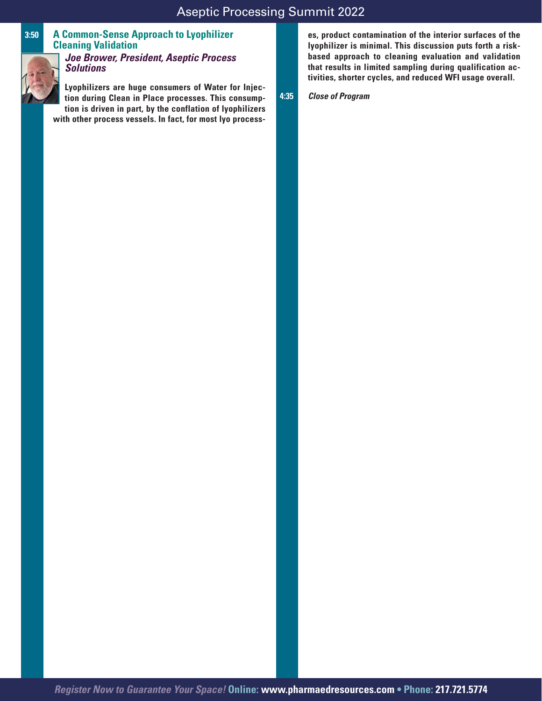

#### **3:50 A Common-Sense Approach to Lyophilizer Cleaning Validation Joe Brower, President, Aseptic Process**  *Solutions*

**Lyophilizers are huge consumers of Water for Injection during Clean in Place processes. This consumption is driven in part, by the conflation of lyophilizers with other process vessels. In fact, for most lyo process-**

**es, product contamination of the interior surfaces of the lyophilizer is minimal. This discussion puts forth a riskbased approach to cleaning evaluation and validation that results in limited sampling during qualification activities, shorter cycles, and reduced WFI usage overall.**

**4:35** *Close of Program*